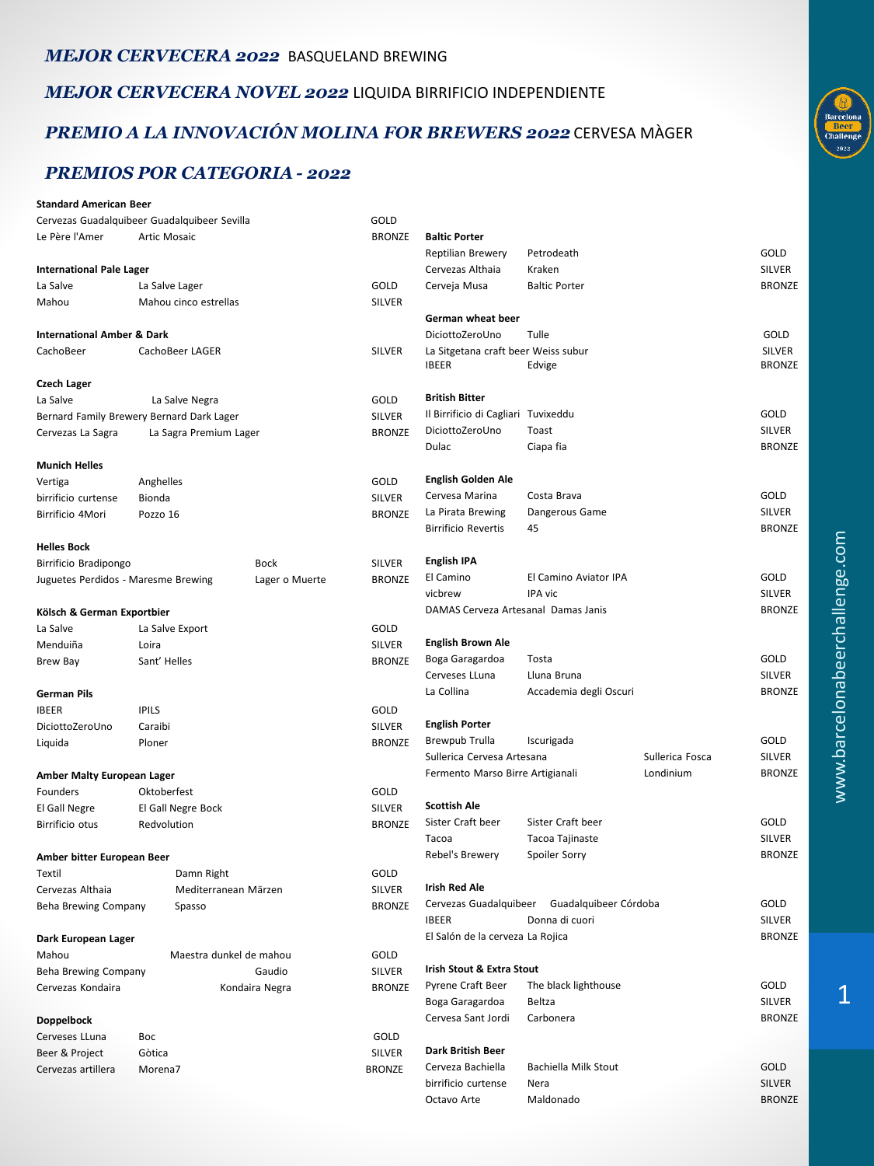#### *MEJOR CERVECERA 2022* BASQUELAND BREWING

*MEJOR CERVECERA NOVEL 2022* LIQUIDA BIRRIFICIO INDEPENDIENTE

### *PREMIO A LA INNOVACIÓN MOLINA FOR BREWERS 2022* CERVESA MÀGER

### *PREMIOS POR CATEGORIA - 2022*

| <b>Standard American Beer</b>         |                                              |                |                   |                                                                                                |                        |               |               |
|---------------------------------------|----------------------------------------------|----------------|-------------------|------------------------------------------------------------------------------------------------|------------------------|---------------|---------------|
|                                       | Cervezas Guadalquibeer Guadalquibeer Sevilla |                | GOLD              |                                                                                                |                        |               |               |
| Le Père l'Amer                        | <b>Artic Mosaic</b>                          |                | <b>BRONZE</b>     | <b>Baltic Porter</b>                                                                           |                        |               |               |
|                                       |                                              |                |                   | Reptilian Brewery                                                                              | Petrodeath             |               | GOLD          |
| <b>International Pale Lager</b>       |                                              |                |                   | Cervezas Althaia                                                                               | Kraken                 |               | <b>SILVER</b> |
| La Salve                              | La Salve Lager                               |                | GOLD              | Cerveja Musa                                                                                   | <b>Baltic Porter</b>   |               | <b>BRONZE</b> |
| Mahou                                 | Mahou cinco estrellas                        |                | <b>SILVER</b>     |                                                                                                |                        |               |               |
|                                       |                                              |                |                   | German wheat beer                                                                              |                        |               |               |
| <b>International Amber &amp; Dark</b> |                                              |                |                   | DiciottoZeroUno                                                                                | Tulle                  |               | GOLD          |
| CachoBeer                             | CachoBeer LAGER                              |                | <b>SILVER</b>     | La Sitgetana craft beer Weiss subur                                                            |                        |               | <b>SILVER</b> |
|                                       |                                              |                |                   | <b>IBEER</b>                                                                                   | Edvige                 |               | <b>BRONZE</b> |
| <b>Czech Lager</b>                    |                                              |                |                   |                                                                                                |                        |               |               |
| La Salve                              | La Salve Negra                               |                | GOLD              | <b>British Bitter</b>                                                                          |                        |               |               |
|                                       | Bernard Family Brewery Bernard Dark Lager    |                | SILVER            | Il Birrificio di Cagliari Tuvixeddu                                                            |                        |               | GOLD          |
| Cervezas La Sagra                     | La Sagra Premium Lager                       |                | <b>BRONZE</b>     | DiciottoZeroUno                                                                                | Toast                  |               | <b>SILVER</b> |
|                                       |                                              |                |                   | Dulac                                                                                          | Ciapa fia              |               | <b>BRONZE</b> |
| <b>Munich Helles</b>                  |                                              |                |                   |                                                                                                |                        |               |               |
| Vertiga                               | Anghelles                                    |                | GOLD              | <b>English Golden Ale</b>                                                                      |                        |               |               |
| birrificio curtense                   | Bionda                                       |                | SILVER            | Cervesa Marina                                                                                 | Costa Brava            |               | GOLD          |
| Birrificio 4Mori                      | Pozzo 16                                     |                | <b>BRONZE</b>     | La Pirata Brewing                                                                              | Dangerous Game         |               | <b>SILVER</b> |
|                                       |                                              |                |                   | <b>Birrificio Revertis</b>                                                                     | 45                     |               | <b>BRONZE</b> |
| <b>Helles Bock</b>                    |                                              |                |                   |                                                                                                |                        |               |               |
| Birrificio Bradipongo                 |                                              | Bock           | <b>SILVER</b>     | <b>English IPA</b>                                                                             |                        |               |               |
| Juguetes Perdidos - Maresme Brewing   |                                              | Lager o Muerte | <b>BRONZE</b>     | El Camino                                                                                      | El Camino Aviator IPA  |               | GOLD          |
|                                       |                                              |                |                   | vicbrew                                                                                        | IPA vic                |               | <b>SILVER</b> |
| Kölsch & German Exportbier            |                                              |                |                   | DAMAS Cerveza Artesanal Damas Janis                                                            |                        |               | <b>BRONZE</b> |
| La Salve                              | La Salve Export                              |                | GOLD              |                                                                                                |                        |               |               |
| Menduiña                              | Loira                                        |                | SILVER            | <b>English Brown Ale</b>                                                                       |                        |               |               |
| Brew Bay                              | Sant' Helles                                 |                | <b>BRONZE</b>     | Boga Garagardoa                                                                                | Tosta                  |               | GOLD          |
|                                       |                                              |                |                   | Cerveses LLuna                                                                                 | Lluna Bruna            |               | <b>SILVER</b> |
| German Pils                           |                                              |                |                   | La Collina                                                                                     | Accademia degli Oscuri |               | <b>BRONZE</b> |
| <b>IBEER</b>                          | <b>IPILS</b>                                 |                | GOLD              |                                                                                                |                        |               |               |
| DiciottoZeroUno                       | Caraibi                                      |                | SILVER            | <b>English Porter</b>                                                                          |                        |               | GOLD          |
| Liquida                               | Ploner                                       |                | <b>BRONZE</b>     | Brewpub Trulla                                                                                 | Iscurigada             |               | <b>SILVER</b> |
|                                       |                                              |                |                   | Sullerica Cervesa Artesana<br>Sullerica Fosca<br>Londinium<br>Fermento Marso Birre Artigianali |                        | <b>BRONZE</b> |               |
| Amber Malty European Lager            |                                              |                |                   |                                                                                                |                        |               |               |
| Founders                              | Oktoberfest                                  |                | GOLD              | <b>Scottish Ale</b>                                                                            |                        |               |               |
| El Gall Negre                         | El Gall Negre Bock                           |                | SILVER            | Sister Craft beer                                                                              | Sister Craft beer      |               | GOLD          |
| Birrificio otus                       | Redvolution                                  |                | <b>BRONZE</b>     | Tacoa                                                                                          | Tacoa Tajinaste        |               | SILVER        |
|                                       |                                              |                |                   | Rebel's Brewery                                                                                | Spoiler Sorry          |               | <b>BRONZE</b> |
| Amber bitter European Beer            |                                              |                |                   |                                                                                                |                        |               |               |
| Textil                                | Damn Right                                   |                | GOLD              | <b>Irish Red Ale</b>                                                                           |                        |               |               |
| Cervezas Althaia                      | Mediterranean Märzen                         |                | SILVER            | Cervezas Guadalquibeer Guadalquibeer Córdoba                                                   |                        |               | GOLD          |
| Beha Brewing Company                  | Spasso                                       |                | <b>BRONZE</b>     | <b>IBEER</b>                                                                                   | Donna di cuori         |               | <b>SILVER</b> |
|                                       |                                              |                |                   | El Salón de la cerveza La Rojica                                                               |                        |               | <b>BRONZE</b> |
| Dark European Lager                   |                                              |                |                   |                                                                                                |                        |               |               |
| Mahou                                 | Maestra dunkel de mahou                      |                | GOLD              | Irish Stout & Extra Stout                                                                      |                        |               |               |
| <b>Beha Brewing Company</b><br>Gaudio |                                              | SILVER         | Pyrene Craft Beer | The black lighthouse                                                                           |                        | GOLD          |               |
| Cervezas Kondaira                     |                                              | Kondaira Negra | <b>BRONZE</b>     | Boga Garagardoa                                                                                | Beltza                 |               | SILVER        |
|                                       |                                              |                |                   | Cervesa Sant Jordi                                                                             | Carbonera              |               | <b>BRONZE</b> |
| <b>Doppelbock</b>                     |                                              |                |                   |                                                                                                |                        |               |               |
| Cerveses LLuna<br>Beer & Project      | Boc                                          |                | GOLD<br>SILVER    | Dark British Beer                                                                              |                        |               |               |
| Cervezas artillera                    | Gòtica<br>Morena7                            |                | <b>BRONZE</b>     | Cerveza Bachiella                                                                              | Bachiella Milk Stout   |               | GOLD          |
|                                       |                                              |                |                   | birrificio curtense                                                                            | Nera                   |               | SILVER        |
|                                       |                                              |                |                   | Octavo Arte                                                                                    | Maldonado              |               | <b>BRONZE</b> |

 $\overline{1}$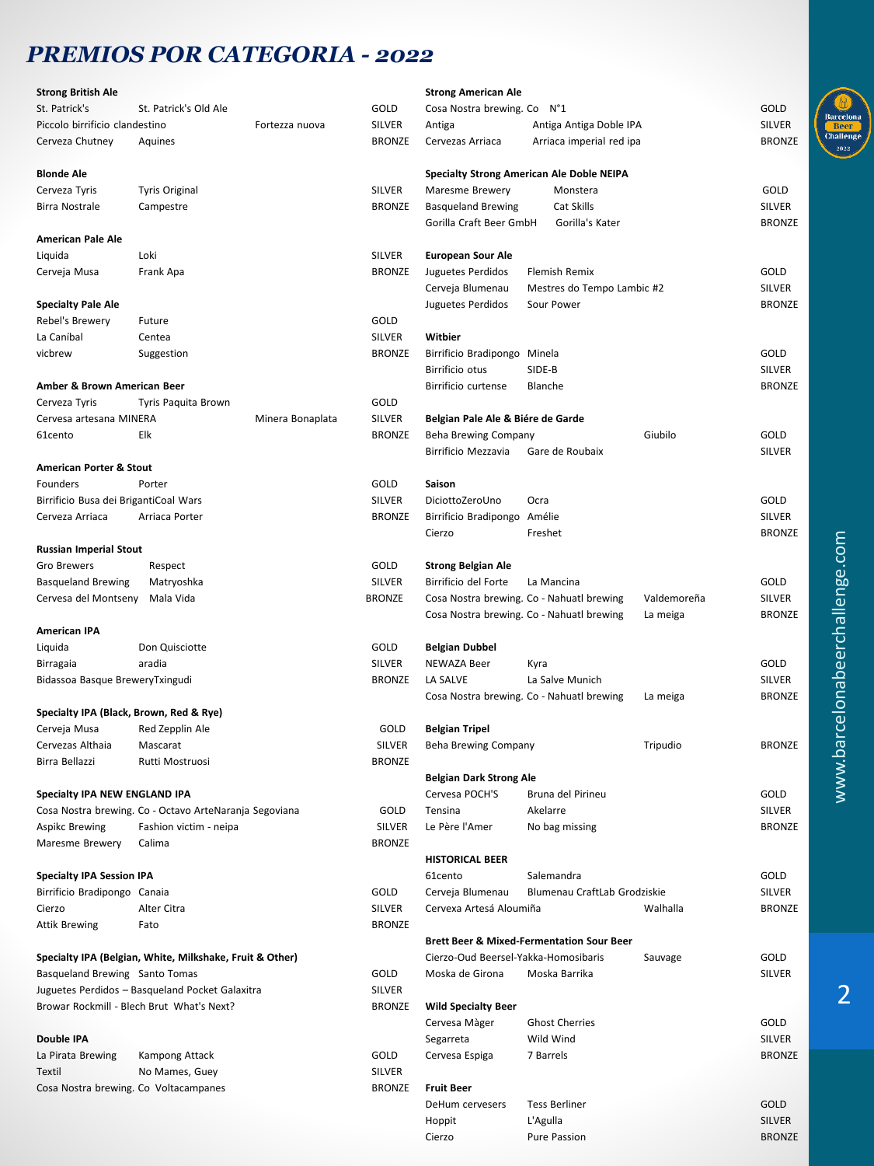## *PREMIOS POR CATEGORIA - 2022*

| <b>Strong British Ale</b>                                |                                                        |                  |               | <b>Strong American Ale</b>           |                                                      |             |               |
|----------------------------------------------------------|--------------------------------------------------------|------------------|---------------|--------------------------------------|------------------------------------------------------|-------------|---------------|
| St. Patrick's                                            | St. Patrick's Old Ale                                  |                  | GOLD          | Cosa Nostra brewing. Co N°1          |                                                      |             | GOLD          |
| Piccolo birrificio clandestino                           |                                                        | Fortezza nuova   | SILVER        | Antiga                               | Antiga Antiga Doble IPA                              |             | <b>SILVER</b> |
| Cerveza Chutney                                          | Aquines                                                |                  | <b>BRONZE</b> | Cervezas Arriaca                     | Arriaca imperial red ipa                             |             | <b>BRONZE</b> |
| <b>Blonde Ale</b>                                        |                                                        |                  |               |                                      | <b>Specialty Strong American Ale Doble NEIPA</b>     |             |               |
| Cerveza Tyris                                            | <b>Tyris Original</b>                                  |                  | SILVER        | Maresme Brewery                      | Monstera                                             |             | GOLD          |
| Birra Nostrale                                           | Campestre                                              |                  | <b>BRONZE</b> | <b>Basqueland Brewing</b>            | Cat Skills                                           |             | <b>SILVER</b> |
|                                                          |                                                        |                  |               | Gorilla Craft Beer GmbH              | Gorilla's Kater                                      |             | <b>BRONZE</b> |
| American Pale Ale                                        |                                                        |                  |               |                                      |                                                      |             |               |
| Liquida                                                  | Loki                                                   |                  | <b>SILVER</b> | <b>European Sour Ale</b>             |                                                      |             |               |
| Cerveja Musa                                             | Frank Apa                                              |                  | <b>BRONZE</b> | Juguetes Perdidos                    | Flemish Remix                                        |             | GOLD          |
|                                                          |                                                        |                  |               | Cerveja Blumenau                     | Mestres do Tempo Lambic #2                           |             | <b>SILVER</b> |
| <b>Specialty Pale Ale</b>                                |                                                        |                  |               | Juguetes Perdidos                    | Sour Power                                           |             | <b>BRONZE</b> |
| Rebel's Brewery                                          | Future                                                 |                  | GOLD          |                                      |                                                      |             |               |
| La Caníbal                                               | Centea                                                 |                  | <b>SILVER</b> | Witbier                              |                                                      |             |               |
| vicbrew                                                  | Suggestion                                             |                  | <b>BRONZE</b> | Birrificio Bradipongo Minela         |                                                      |             | GOLD          |
|                                                          |                                                        |                  |               | Birrificio otus                      | SIDE-B                                               |             | <b>SILVER</b> |
|                                                          |                                                        |                  |               |                                      |                                                      |             |               |
| Amber & Brown American Beer                              |                                                        |                  |               | Birrificio curtense                  | Blanche                                              |             | <b>BRONZE</b> |
| Cerveza Tyris                                            | Tyris Paquita Brown                                    |                  | GOLD          |                                      |                                                      |             |               |
| Cervesa artesana MINERA                                  |                                                        | Minera Bonaplata | <b>SILVER</b> | Belgian Pale Ale & Biére de Garde    |                                                      |             |               |
| 61cento                                                  | Elk                                                    |                  | <b>BRONZE</b> | Beha Brewing Company                 |                                                      | Giubilo     | GOLD          |
|                                                          |                                                        |                  |               | Birrificio Mezzavia                  | Gare de Roubaix                                      |             | <b>SILVER</b> |
| American Porter & Stout                                  |                                                        |                  |               |                                      |                                                      |             |               |
| Founders                                                 | Porter                                                 |                  | GOLD          | Saison                               |                                                      |             |               |
| Birrificio Busa dei BrigantiCoal Wars                    |                                                        |                  | SILVER        | DiciottoZeroUno                      | Ocra                                                 |             | GOLD          |
| Cerveza Arriaca                                          | Arriaca Porter                                         |                  | <b>BRONZE</b> | Birrificio Bradipongo Amélie         |                                                      |             | <b>SILVER</b> |
|                                                          |                                                        |                  |               | Cierzo                               | Freshet                                              |             | <b>BRONZE</b> |
| <b>Russian Imperial Stout</b>                            |                                                        |                  |               |                                      |                                                      |             |               |
| Gro Brewers                                              | Respect                                                |                  | GOLD          | <b>Strong Belgian Ale</b>            |                                                      |             |               |
| <b>Basqueland Brewing</b>                                | Matryoshka                                             |                  | <b>SILVER</b> | Birrificio del Forte                 | La Mancina                                           |             | GOLD          |
| Cervesa del Montseny                                     | Mala Vida                                              |                  | <b>BRONZE</b> |                                      | Cosa Nostra brewing. Co - Nahuatl brewing            | Valdemoreña | <b>SILVER</b> |
|                                                          |                                                        |                  |               |                                      | Cosa Nostra brewing. Co - Nahuatl brewing            | La meiga    | <b>BRONZE</b> |
| <b>American IPA</b>                                      |                                                        |                  |               |                                      |                                                      |             |               |
| Liquida                                                  | Don Quisciotte                                         |                  | GOLD          | <b>Belgian Dubbel</b>                |                                                      |             |               |
| Birragaia                                                | aradia                                                 |                  | <b>SILVER</b> | NEWAZA Beer                          | Kyra                                                 |             | GOLD          |
| Bidassoa Basque BreweryTxingudi                          |                                                        |                  | <b>BRONZE</b> | LA SALVE                             | La Salve Munich                                      |             | <b>SILVER</b> |
|                                                          |                                                        |                  |               |                                      | Cosa Nostra brewing. Co - Nahuatl brewing            | La meiga    | <b>BRONZE</b> |
| Specialty IPA (Black, Brown, Red & Rye)                  |                                                        |                  |               |                                      |                                                      |             |               |
|                                                          |                                                        |                  | GOLD          | <b>Belgian Tripel</b>                |                                                      |             |               |
| Cerveja Musa<br>Cervezas Althaia                         | Red Zepplin Ale                                        |                  |               |                                      |                                                      |             |               |
|                                                          | Mascarat                                               |                  | SILVER        | <b>Beha Brewing Company</b>          |                                                      | Tripudio    | <b>BRONZE</b> |
| Birra Bellazzi                                           | Rutti Mostruosi                                        |                  | <b>BRONZE</b> |                                      |                                                      |             |               |
|                                                          |                                                        |                  |               | <b>Belgian Dark Strong Ale</b>       |                                                      |             |               |
| Specialty IPA NEW ENGLAND IPA                            |                                                        |                  |               | Cervesa POCH'S                       | Bruna del Pirineu                                    |             | GOLD          |
|                                                          | Cosa Nostra brewing. Co - Octavo ArteNaranja Segoviana |                  | GOLD          | Tensina                              | Akelarre                                             |             | <b>SILVER</b> |
| Aspikc Brewing                                           | Fashion victim - neipa                                 |                  | SILVER        | Le Père l'Amer                       | No bag missing                                       |             | <b>BRONZE</b> |
| Maresme Brewery                                          | Calima                                                 |                  | <b>BRONZE</b> |                                      |                                                      |             |               |
|                                                          |                                                        |                  |               | <b>HISTORICAL BEER</b>               |                                                      |             |               |
| <b>Specialty IPA Session IPA</b>                         |                                                        |                  |               | 61cento                              | Salemandra                                           |             | GOLD          |
| Birrificio Bradipongo Canaia                             |                                                        |                  | GOLD          | Cerveja Blumenau                     | Blumenau CraftLab Grodziskie                         |             | <b>SILVER</b> |
| Cierzo                                                   | Alter Citra                                            |                  | SILVER        | Cervexa Artesá Aloumiña              |                                                      | Walhalla    | <b>BRONZE</b> |
| <b>Attik Brewing</b>                                     | Fato                                                   |                  | <b>BRONZE</b> |                                      |                                                      |             |               |
|                                                          |                                                        |                  |               |                                      | <b>Brett Beer &amp; Mixed-Fermentation Sour Beer</b> |             |               |
| Specialty IPA (Belgian, White, Milkshake, Fruit & Other) |                                                        |                  |               | Cierzo-Oud Beersel-Yakka-Homosibaris |                                                      | Sauvage     | GOLD          |
| Basqueland Brewing Santo Tomas                           |                                                        |                  | GOLD          | Moska de Girona                      | Moska Barrika                                        |             | <b>SILVER</b> |
|                                                          | Juguetes Perdidos - Basqueland Pocket Galaxitra        |                  | SILVER        |                                      |                                                      |             |               |
|                                                          | Browar Rockmill - Blech Brut What's Next?              |                  | <b>BRONZE</b> | <b>Wild Specialty Beer</b>           |                                                      |             |               |
|                                                          |                                                        |                  |               | Cervesa Màger                        | <b>Ghost Cherries</b>                                |             | GOLD          |
| Double IPA                                               |                                                        |                  |               | Segarreta                            | Wild Wind                                            |             | <b>SILVER</b> |
|                                                          |                                                        |                  | GOLD          |                                      | 7 Barrels                                            |             | <b>BRONZE</b> |
| La Pirata Brewing                                        | Kampong Attack                                         |                  |               | Cervesa Espiga                       |                                                      |             |               |
| Textil                                                   | No Mames, Guey                                         |                  | SILVER        |                                      |                                                      |             |               |
| Cosa Nostra brewing. Co Voltacampanes                    |                                                        |                  | <b>BRONZE</b> | <b>Fruit Beer</b>                    |                                                      |             |               |
|                                                          |                                                        |                  |               | DeHum cervesers                      | <b>Tess Berliner</b>                                 |             | GOLD          |
|                                                          |                                                        |                  |               | Hoppit                               | L'Agulla                                             |             | <b>SILVER</b> |
|                                                          |                                                        |                  |               | Cierzo                               | Pure Passion                                         |             | <b>BRONZE</b> |

 $\overline{2}$